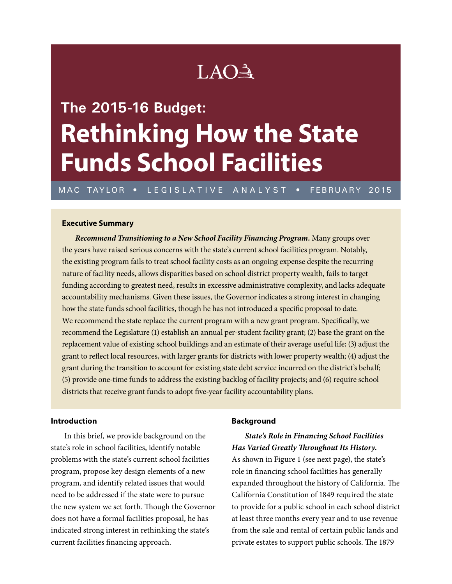## LAO<sup>A</sup>

# **The 2015-16 Budget: Rethinking How the State Funds School Facilities**

MAC TAYLOR • LEGISLATIVE ANALYST • FEBRUARY 2015

## **Executive Summary**

*Recommend Transitioning to a New School Facility Financing Program.* Many groups over the years have raised serious concerns with the state's current school facilities program. Notably, the existing program fails to treat school facility costs as an ongoing expense despite the recurring nature of facility needs, allows disparities based on school district property wealth, fails to target funding according to greatest need, results in excessive administrative complexity, and lacks adequate accountability mechanisms. Given these issues, the Governor indicates a strong interest in changing how the state funds school facilities, though he has not introduced a specific proposal to date. We recommend the state replace the current program with a new grant program. Specifically, we recommend the Legislature (1) establish an annual per-student facility grant; (2) base the grant on the replacement value of existing school buildings and an estimate of their average useful life; (3) adjust the grant to reflect local resources, with larger grants for districts with lower property wealth; (4) adjust the grant during the transition to account for existing state debt service incurred on the district's behalf; (5) provide one-time funds to address the existing backlog of facility projects; and (6) require school districts that receive grant funds to adopt five-year facility accountability plans.

#### **Introduction**

In this brief, we provide background on the state's role in school facilities, identify notable problems with the state's current school facilities program, propose key design elements of a new program, and identify related issues that would need to be addressed if the state were to pursue the new system we set forth. Though the Governor does not have a formal facilities proposal, he has indicated strong interest in rethinking the state's current facilities financing approach.

#### **Background**

*State's Role in Financing School Facilities Has Varied Greatly Throughout Its History.*

As shown in Figure 1 (see next page), the state's role in financing school facilities has generally expanded throughout the history of California. The California Constitution of 1849 required the state to provide for a public school in each school district at least three months every year and to use revenue from the sale and rental of certain public lands and private estates to support public schools. The 1879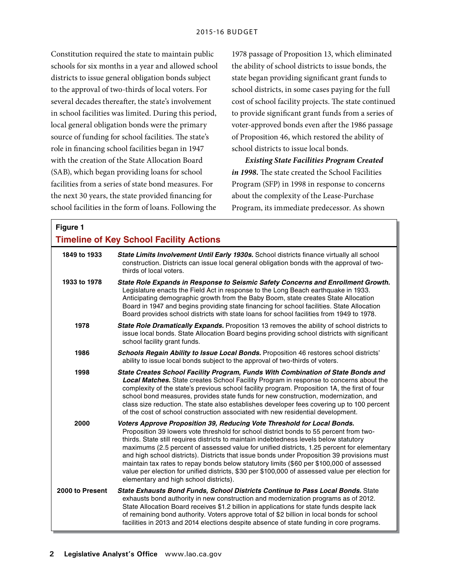Constitution required the state to maintain public schools for six months in a year and allowed school districts to issue general obligation bonds subject to the approval of two-thirds of local voters. For several decades thereafter, the state's involvement in school facilities was limited. During this period, local general obligation bonds were the primary source of funding for school facilities. The state's role in financing school facilities began in 1947 with the creation of the State Allocation Board (SAB), which began providing loans for school facilities from a series of state bond measures. For the next 30 years, the state provided financing for school facilities in the form of loans. Following the

1978 passage of Proposition 13, which eliminated the ability of school districts to issue bonds, the state began providing significant grant funds to school districts, in some cases paying for the full cost of school facility projects. The state continued to provide significant grant funds from a series of voter-approved bonds even after the 1986 passage of Proposition 46, which restored the ability of school districts to issue local bonds.

*Existing State Facilities Program Created in 1998.* The state created the School Facilities Program (SFP) in 1998 in response to concerns about the complexity of the Lease-Purchase Program, its immediate predecessor. As shown

| Figure 1                                       |                                                                                                                                                                                                                                                                                                                                                                                                                                                                                                                                                                                                                                                                                                   |
|------------------------------------------------|---------------------------------------------------------------------------------------------------------------------------------------------------------------------------------------------------------------------------------------------------------------------------------------------------------------------------------------------------------------------------------------------------------------------------------------------------------------------------------------------------------------------------------------------------------------------------------------------------------------------------------------------------------------------------------------------------|
| <b>Timeline of Key School Facility Actions</b> |                                                                                                                                                                                                                                                                                                                                                                                                                                                                                                                                                                                                                                                                                                   |
| 1849 to 1933                                   | State Limits Involvement Until Early 1930s. School districts finance virtually all school<br>construction. Districts can issue local general obligation bonds with the approval of two-<br>thirds of local voters.                                                                                                                                                                                                                                                                                                                                                                                                                                                                                |
| 1933 to 1978                                   | State Role Expands in Response to Seismic Safety Concerns and Enrollment Growth.<br>Legislature enacts the Field Act in response to the Long Beach earthquake in 1933.<br>Anticipating demographic growth from the Baby Boom, state creates State Allocation<br>Board in 1947 and begins providing state financing for school facilities. State Allocation<br>Board provides school districts with state loans for school facilities from 1949 to 1978.                                                                                                                                                                                                                                           |
| 1978                                           | State Role Dramatically Expands. Proposition 13 removes the ability of school districts to<br>issue local bonds. State Allocation Board begins providing school districts with significant<br>school facility grant funds.                                                                                                                                                                                                                                                                                                                                                                                                                                                                        |
| 1986                                           | <b>Schools Regain Ability to Issue Local Bonds.</b> Proposition 46 restores school districts'<br>ability to issue local bonds subject to the approval of two-thirds of voters.                                                                                                                                                                                                                                                                                                                                                                                                                                                                                                                    |
| 1998                                           | State Creates School Facility Program, Funds With Combination of State Bonds and<br>Local Matches. State creates School Facility Program in response to concerns about the<br>complexity of the state's previous school facility program. Proposition 1A, the first of four<br>school bond measures, provides state funds for new construction, modernization, and<br>class size reduction. The state also establishes developer fees covering up to 100 percent<br>of the cost of school construction associated with new residential development.                                                                                                                                               |
| 2000                                           | Voters Approve Proposition 39, Reducing Vote Threshold for Local Bonds.<br>Proposition 39 lowers vote threshold for school district bonds to 55 percent from two-<br>thirds. State still requires districts to maintain indebtedness levels below statutory<br>maximums (2.5 percent of assessed value for unified districts, 1.25 percent for elementary<br>and high school districts). Districts that issue bonds under Proposition 39 provisions must<br>maintain tax rates to repay bonds below statutory limits (\$60 per \$100,000 of assessed<br>value per election for unified districts, \$30 per \$100,000 of assessed value per election for<br>elementary and high school districts). |
| 2000 to Present                                | State Exhausts Bond Funds, School Districts Continue to Pass Local Bonds. State<br>exhausts bond authority in new construction and modernization programs as of 2012.<br>State Allocation Board receives \$1.2 billion in applications for state funds despite lack<br>of remaining bond authority. Voters approve total of \$2 billion in local bonds for school<br>facilities in 2013 and 2014 elections despite absence of state funding in core programs.                                                                                                                                                                                                                                     |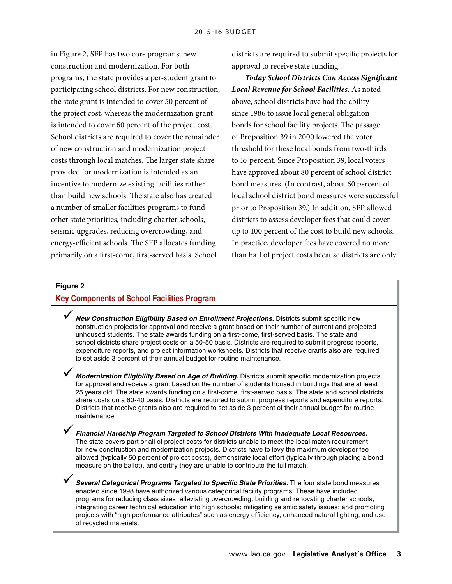in Figure 2, SFP has two core programs: new construction and modernization. For both programs, the state provides a per-student grant to participating school districts. For new construction, the state grant is intended to cover 50 percent of the project cost, whereas the modernization grant is intended to cover 60 percent of the project cost. School districts are required to cover the remainder of new construction and modernization project costs through local matches. The larger state share provided for modernization is intended as an incentive to modernize existing facilities rather than build new schools. The state also has created a number of smaller facilities programs to fund other state priorities, including charter schools, seismic upgrades, reducing overcrowding, and energy-efficient schools. The SFP allocates funding primarily on a first-come, first-served basis. School

districts are required to submit specific projects for approval to receive state funding.

*Today School Districts Can Access Significant Local Revenue for School Facilities.* As noted above, school districts have had the ability since 1986 to issue local general obligation bonds for school facility projects. The passage of Proposition 39 in 2000 lowered the voter threshold for these local bonds from two-thirds to 55 percent. Since Proposition 39, local voters have approved about 80 percent of school district bond measures. (In contrast, about 60 percent of local school district bond measures were successful prior to Proposition 39.) In addition, SFP allowed districts to assess developer fees that could cover up to 100 percent of the cost to build new schools. In practice, developer fees have covered no more than half of project costs because districts are only

## **Figure 2**

## **Key Components of School Facilities Program**

- 9*New Construction Eligibility Based on Enrollment Projections.* Districts submit specific new construction projects for approval and receive a grant based on their number of current and projected unhoused students. The state awards funding on a first-come, first-served basis. The state and school districts share project costs on a 50-50 basis. Districts are required to submit progress reports, expenditure reports, and project information worksheets. Districts that receive grants also are required to set aside 3 percent of their annual budget for routine maintenance.
- 9 *Modernization Eligibility Based on Age of Building.* Districts submit specific modernization projects for approval and receive a grant based on the number of students housed in buildings that are at least 25 years old. The state awards funding on a first-come, first-served basis. The state and school districts share costs on a 60-40 basis. Districts are required to submit progress reports and expenditure reports. Districts that receive grants also are required to set aside 3 percent of their annual budget for routine maintenance.
	- 9*Financial Hardship Program Targeted to School Districts With Inadequate Local Resources.* The state covers part or all of project costs for districts unable to meet the local match requirement for new construction and modernization projects. Districts have to levy the maximum developer fee allowed (typically 50 percent of project costs), demonstrate local effort (typically through placing a bond measure on the ballot), and certify they are unable to contribute the full match.

9*Several Categorical Programs Targeted to Specific State Priorities.* The four state bond measures enacted since 1998 have authorized various categorical facility programs. These have included programs for reducing class sizes; alleviating overcrowding; building and renovating charter schools; integrating career technical education into high schools; mitigating seismic safety issues; and promoting projects with "high performance attributes" such as energy efficiency, enhanced natural lighting, and use of recycled materials.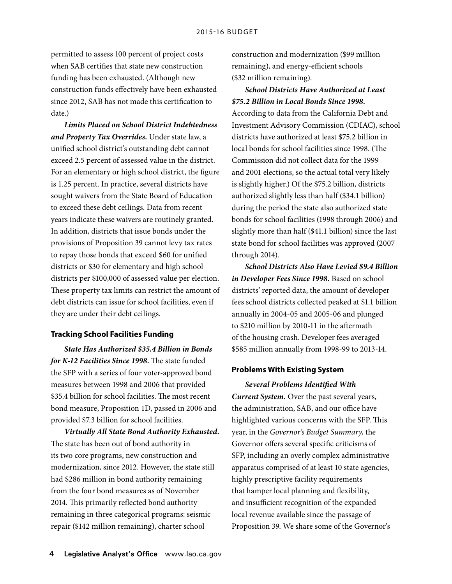permitted to assess 100 percent of project costs when SAB certifies that state new construction funding has been exhausted. (Although new construction funds effectively have been exhausted since 2012, SAB has not made this certification to date.)

*Limits Placed on School District Indebtedness and Property Tax Overrides.* Under state law, a unified school district's outstanding debt cannot exceed 2.5 percent of assessed value in the district. For an elementary or high school district, the figure is 1.25 percent. In practice, several districts have sought waivers from the State Board of Education to exceed these debt ceilings. Data from recent years indicate these waivers are routinely granted. In addition, districts that issue bonds under the provisions of Proposition 39 cannot levy tax rates to repay those bonds that exceed \$60 for unified districts or \$30 for elementary and high school districts per \$100,000 of assessed value per election. These property tax limits can restrict the amount of debt districts can issue for school facilities, even if they are under their debt ceilings.

## **Tracking School Facilities Funding**

*State Has Authorized \$35.4 Billion in Bonds for K-12 Facilities Since 1998.* The state funded the SFP with a series of four voter-approved bond measures between 1998 and 2006 that provided \$35.4 billion for school facilities. The most recent bond measure, Proposition 1D, passed in 2006 and provided \$7.3 billion for school facilities.

*Virtually All State Bond Authority Exhausted.*  The state has been out of bond authority in its two core programs, new construction and modernization, since 2012. However, the state still had \$286 million in bond authority remaining from the four bond measures as of November 2014. This primarily reflected bond authority remaining in three categorical programs: seismic repair (\$142 million remaining), charter school

construction and modernization (\$99 million remaining), and energy-efficient schools (\$32 million remaining).

## *School Districts Have Authorized at Least \$75.2 Billion in Local Bonds Since 1998.*

According to data from the California Debt and Investment Advisory Commission (CDIAC), school districts have authorized at least \$75.2 billion in local bonds for school facilities since 1998. (The Commission did not collect data for the 1999 and 2001 elections, so the actual total very likely is slightly higher.) Of the \$75.2 billion, districts authorized slightly less than half (\$34.1 billion) during the period the state also authorized state bonds for school facilities (1998 through 2006) and slightly more than half (\$41.1 billion) since the last state bond for school facilities was approved (2007 through 2014).

*School Districts Also Have Levied \$9.4 Billion in Developer Fees Since 1998.* Based on school districts' reported data, the amount of developer fees school districts collected peaked at \$1.1 billion annually in 2004-05 and 2005-06 and plunged to \$210 million by 2010-11 in the aftermath of the housing crash. Developer fees averaged \$585 million annually from 1998-99 to 2013-14.

## **Problems With Existing System**

*Several Problems Identified With Current System.* Over the past several years, the administration, SAB, and our office have highlighted various concerns with the SFP. This year, in the *Governor's Budget Summary*, the Governor offers several specific criticisms of SFP, including an overly complex administrative apparatus comprised of at least 10 state agencies, highly prescriptive facility requirements that hamper local planning and flexibility, and insufficient recognition of the expanded local revenue available since the passage of Proposition 39. We share some of the Governor's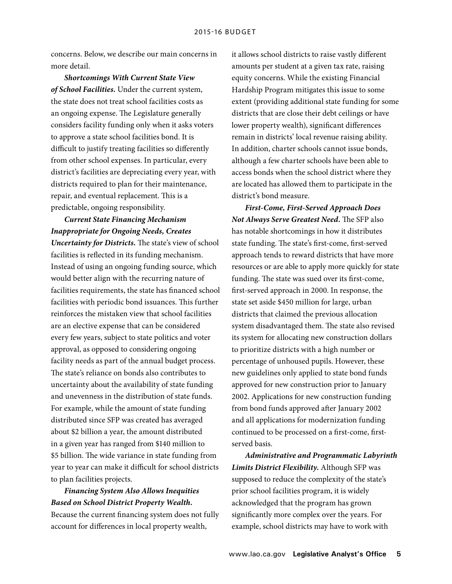concerns. Below, we describe our main concerns in more detail.

*Shortcomings With Current State View of School Facilities.* Under the current system, the state does not treat school facilities costs as an ongoing expense. The Legislature generally considers facility funding only when it asks voters to approve a state school facilities bond. It is difficult to justify treating facilities so differently from other school expenses. In particular, every district's facilities are depreciating every year, with districts required to plan for their maintenance, repair, and eventual replacement. This is a predictable, ongoing responsibility.

*Current State Financing Mechanism Inappropriate for Ongoing Needs, Creates Uncertainty for Districts.* The state's view of school facilities is reflected in its funding mechanism. Instead of using an ongoing funding source, which would better align with the recurring nature of facilities requirements, the state has financed school facilities with periodic bond issuances. This further reinforces the mistaken view that school facilities are an elective expense that can be considered every few years, subject to state politics and voter approval, as opposed to considering ongoing facility needs as part of the annual budget process. The state's reliance on bonds also contributes to uncertainty about the availability of state funding and unevenness in the distribution of state funds. For example, while the amount of state funding distributed since SFP was created has averaged about \$2 billion a year, the amount distributed in a given year has ranged from \$140 million to \$5 billion. The wide variance in state funding from year to year can make it difficult for school districts to plan facilities projects.

## *Financing System Also Allows Inequities Based on School District Property Wealth.*

Because the current financing system does not fully account for differences in local property wealth,

it allows school districts to raise vastly different amounts per student at a given tax rate, raising equity concerns. While the existing Financial Hardship Program mitigates this issue to some extent (providing additional state funding for some districts that are close their debt ceilings or have lower property wealth), significant differences remain in districts' local revenue raising ability. In addition, charter schools cannot issue bonds, although a few charter schools have been able to access bonds when the school district where they are located has allowed them to participate in the district's bond measure.

*First-Come, First-Served Approach Does Not Always Serve Greatest Need.* The SFP also has notable shortcomings in how it distributes state funding. The state's first-come, first-served approach tends to reward districts that have more resources or are able to apply more quickly for state funding. The state was sued over its first-come, first-served approach in 2000. In response, the state set aside \$450 million for large, urban districts that claimed the previous allocation system disadvantaged them. The state also revised its system for allocating new construction dollars to prioritize districts with a high number or percentage of unhoused pupils. However, these new guidelines only applied to state bond funds approved for new construction prior to January 2002. Applications for new construction funding from bond funds approved after January 2002 and all applications for modernization funding continued to be processed on a first-come, firstserved basis.

*Administrative and Programmatic Labyrinth Limits District Flexibility.* Although SFP was supposed to reduce the complexity of the state's prior school facilities program, it is widely acknowledged that the program has grown significantly more complex over the years. For example, school districts may have to work with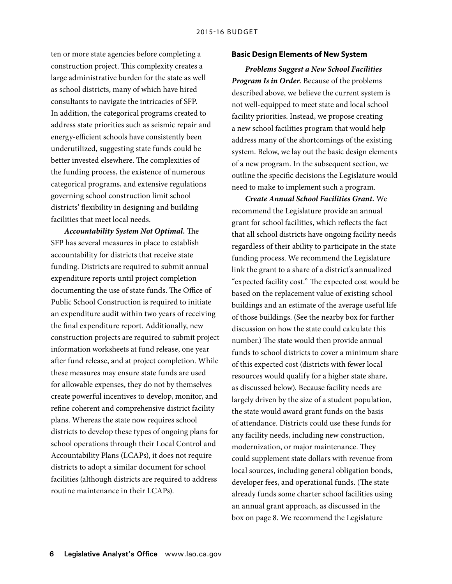ten or more state agencies before completing a construction project. This complexity creates a large administrative burden for the state as well as school districts, many of which have hired consultants to navigate the intricacies of SFP. In addition, the categorical programs created to address state priorities such as seismic repair and energy-efficient schools have consistently been underutilized, suggesting state funds could be better invested elsewhere. The complexities of the funding process, the existence of numerous categorical programs, and extensive regulations governing school construction limit school districts' flexibility in designing and building facilities that meet local needs.

*Accountability System Not Optimal.* The SFP has several measures in place to establish accountability for districts that receive state funding. Districts are required to submit annual expenditure reports until project completion documenting the use of state funds. The Office of Public School Construction is required to initiate an expenditure audit within two years of receiving the final expenditure report. Additionally, new construction projects are required to submit project information worksheets at fund release, one year after fund release, and at project completion. While these measures may ensure state funds are used for allowable expenses, they do not by themselves create powerful incentives to develop, monitor, and refine coherent and comprehensive district facility plans. Whereas the state now requires school districts to develop these types of ongoing plans for school operations through their Local Control and Accountability Plans (LCAPs), it does not require districts to adopt a similar document for school facilities (although districts are required to address routine maintenance in their LCAPs).

## **Basic Design Elements of New System**

*Problems Suggest a New School Facilities Program Is in Order.* Because of the problems described above, we believe the current system is not well-equipped to meet state and local school facility priorities. Instead, we propose creating a new school facilities program that would help address many of the shortcomings of the existing system. Below, we lay out the basic design elements of a new program. In the subsequent section, we outline the specific decisions the Legislature would need to make to implement such a program.

*Create Annual School Facilities Grant.* We recommend the Legislature provide an annual grant for school facilities, which reflects the fact that all school districts have ongoing facility needs regardless of their ability to participate in the state funding process. We recommend the Legislature link the grant to a share of a district's annualized "expected facility cost." The expected cost would be based on the replacement value of existing school buildings and an estimate of the average useful life of those buildings. (See the nearby box for further discussion on how the state could calculate this number.) The state would then provide annual funds to school districts to cover a minimum share of this expected cost (districts with fewer local resources would qualify for a higher state share, as discussed below). Because facility needs are largely driven by the size of a student population, the state would award grant funds on the basis of attendance. Districts could use these funds for any facility needs, including new construction, modernization, or major maintenance. They could supplement state dollars with revenue from local sources, including general obligation bonds, developer fees, and operational funds. (The state already funds some charter school facilities using an annual grant approach, as discussed in the box on page 8. We recommend the Legislature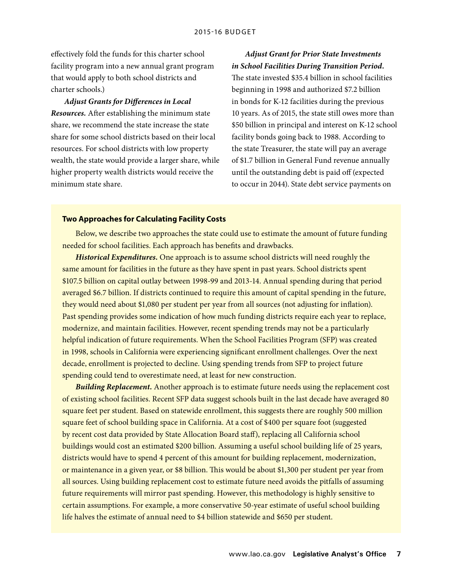effectively fold the funds for this charter school facility program into a new annual grant program that would apply to both school districts and charter schools.)

*Adjust Grants for Differences in Local Resources.* After establishing the minimum state share, we recommend the state increase the state share for some school districts based on their local resources. For school districts with low property wealth, the state would provide a larger share, while higher property wealth districts would receive the minimum state share.

## *Adjust Grant for Prior State Investments in School Facilities During Transition Period.*

The state invested \$35.4 billion in school facilities beginning in 1998 and authorized \$7.2 billion in bonds for K-12 facilities during the previous 10 years. As of 2015, the state still owes more than \$50 billion in principal and interest on K-12 school facility bonds going back to 1988. According to the state Treasurer, the state will pay an average of \$1.7 billion in General Fund revenue annually until the outstanding debt is paid off (expected to occur in 2044). State debt service payments on

## **Two Approaches for Calculating Facility Costs**

Below, we describe two approaches the state could use to estimate the amount of future funding needed for school facilities. Each approach has benefits and drawbacks.

*Historical Expenditures.* One approach is to assume school districts will need roughly the same amount for facilities in the future as they have spent in past years. School districts spent \$107.5 billion on capital outlay between 1998-99 and 2013-14. Annual spending during that period averaged \$6.7 billion. If districts continued to require this amount of capital spending in the future, they would need about \$1,080 per student per year from all sources (not adjusting for inflation). Past spending provides some indication of how much funding districts require each year to replace, modernize, and maintain facilities. However, recent spending trends may not be a particularly helpful indication of future requirements. When the School Facilities Program (SFP) was created in 1998, schools in California were experiencing significant enrollment challenges. Over the next decade, enrollment is projected to decline. Using spending trends from SFP to project future spending could tend to overestimate need, at least for new construction.

*Building Replacement.* Another approach is to estimate future needs using the replacement cost of existing school facilities. Recent SFP data suggest schools built in the last decade have averaged 80 square feet per student. Based on statewide enrollment, this suggests there are roughly 500 million square feet of school building space in California. At a cost of \$400 per square foot (suggested by recent cost data provided by State Allocation Board staff), replacing all California school buildings would cost an estimated \$200 billion. Assuming a useful school building life of 25 years, districts would have to spend 4 percent of this amount for building replacement, modernization, or maintenance in a given year, or \$8 billion. This would be about \$1,300 per student per year from all sources. Using building replacement cost to estimate future need avoids the pitfalls of assuming future requirements will mirror past spending. However, this methodology is highly sensitive to certain assumptions. For example, a more conservative 50-year estimate of useful school building life halves the estimate of annual need to \$4 billion statewide and \$650 per student.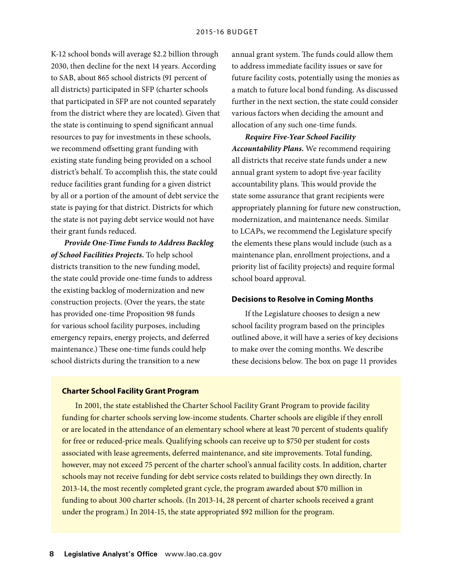K-12 school bonds will average \$2.2 billion through 2030, then decline for the next 14 years. According to SAB, about 865 school districts (91 percent of all districts) participated in SFP (charter schools that participated in SFP are not counted separately from the district where they are located). Given that the state is continuing to spend significant annual resources to pay for investments in these schools, we recommend offsetting grant funding with existing state funding being provided on a school district's behalf. To accomplish this, the state could reduce facilities grant funding for a given district by all or a portion of the amount of debt service the state is paying for that district. Districts for which the state is not paying debt service would not have their grant funds reduced.

*Provide One-Time Funds to Address Backlog of School Facilities Projects.* To help school districts transition to the new funding model, the state could provide one-time funds to address the existing backlog of modernization and new construction projects. (Over the years, the state has provided one-time Proposition 98 funds for various school facility purposes, including emergency repairs, energy projects, and deferred maintenance.) These one-time funds could help school districts during the transition to a new

annual grant system. The funds could allow them to address immediate facility issues or save for future facility costs, potentially using the monies as a match to future local bond funding. As discussed further in the next section, the state could consider various factors when deciding the amount and allocation of any such one-time funds.

*Require Five-Year School Facility Accountability Plans.* We recommend requiring all districts that receive state funds under a new annual grant system to adopt five-year facility accountability plans. This would provide the state some assurance that grant recipients were appropriately planning for future new construction, modernization, and maintenance needs. Similar to LCAPs, we recommend the Legislature specify the elements these plans would include (such as a maintenance plan, enrollment projections, and a priority list of facility projects) and require formal school board approval.

## **Decisions to Resolve in Coming Months**

If the Legislature chooses to design a new school facility program based on the principles outlined above, it will have a series of key decisions to make over the coming months. We describe these decisions below. The box on page 11 provides

#### **Charter School Facility Grant Program**

In 2001, the state established the Charter School Facility Grant Program to provide facility funding for charter schools serving low-income students. Charter schools are eligible if they enroll or are located in the attendance of an elementary school where at least 70 percent of students qualify for free or reduced-price meals. Qualifying schools can receive up to \$750 per student for costs associated with lease agreements, deferred maintenance, and site improvements. Total funding, however, may not exceed 75 percent of the charter school's annual facility costs. In addition, charter schools may not receive funding for debt service costs related to buildings they own directly. In 2013-14, the most recently completed grant cycle, the program awarded about \$70 million in funding to about 300 charter schools. (In 2013-14, 28 percent of charter schools received a grant under the program.) In 2014-15, the state appropriated \$92 million for the program.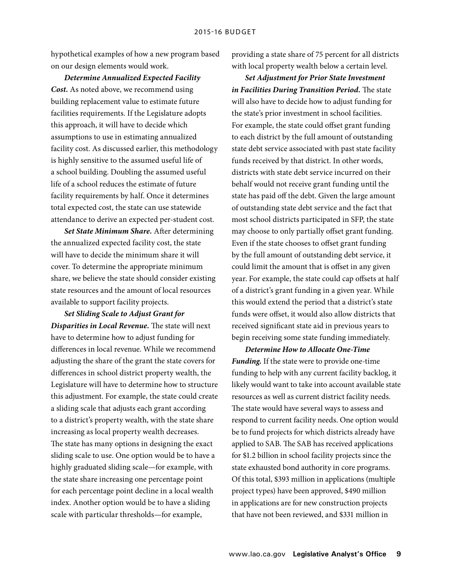hypothetical examples of how a new program based on our design elements would work.

*Determine Annualized Expected Facility Cost.* As noted above, we recommend using building replacement value to estimate future facilities requirements. If the Legislature adopts this approach, it will have to decide which assumptions to use in estimating annualized facility cost. As discussed earlier, this methodology is highly sensitive to the assumed useful life of a school building. Doubling the assumed useful life of a school reduces the estimate of future facility requirements by half. Once it determines total expected cost, the state can use statewide attendance to derive an expected per-student cost.

*Set State Minimum Share.* After determining the annualized expected facility cost, the state will have to decide the minimum share it will cover. To determine the appropriate minimum share, we believe the state should consider existing state resources and the amount of local resources available to support facility projects.

*Set Sliding Scale to Adjust Grant for Disparities in Local Revenue.* The state will next have to determine how to adjust funding for differences in local revenue. While we recommend adjusting the share of the grant the state covers for differences in school district property wealth, the Legislature will have to determine how to structure this adjustment. For example, the state could create a sliding scale that adjusts each grant according to a district's property wealth, with the state share increasing as local property wealth decreases. The state has many options in designing the exact sliding scale to use. One option would be to have a highly graduated sliding scale—for example, with the state share increasing one percentage point for each percentage point decline in a local wealth index. Another option would be to have a sliding scale with particular thresholds—for example,

providing a state share of 75 percent for all districts with local property wealth below a certain level.

*Set Adjustment for Prior State Investment in Facilities During Transition Period.* The state will also have to decide how to adjust funding for the state's prior investment in school facilities. For example, the state could offset grant funding to each district by the full amount of outstanding state debt service associated with past state facility funds received by that district. In other words, districts with state debt service incurred on their behalf would not receive grant funding until the state has paid off the debt. Given the large amount of outstanding state debt service and the fact that most school districts participated in SFP, the state may choose to only partially offset grant funding. Even if the state chooses to offset grant funding by the full amount of outstanding debt service, it could limit the amount that is offset in any given year. For example, the state could cap offsets at half of a district's grant funding in a given year. While this would extend the period that a district's state funds were offset, it would also allow districts that received significant state aid in previous years to begin receiving some state funding immediately.

*Determine How to Allocate One-Time Funding.* If the state were to provide one-time funding to help with any current facility backlog, it likely would want to take into account available state resources as well as current district facility needs. The state would have several ways to assess and respond to current facility needs. One option would be to fund projects for which districts already have applied to SAB. The SAB has received applications for \$1.2 billion in school facility projects since the state exhausted bond authority in core programs. Of this total, \$393 million in applications (multiple project types) have been approved, \$490 million in applications are for new construction projects that have not been reviewed, and \$331 million in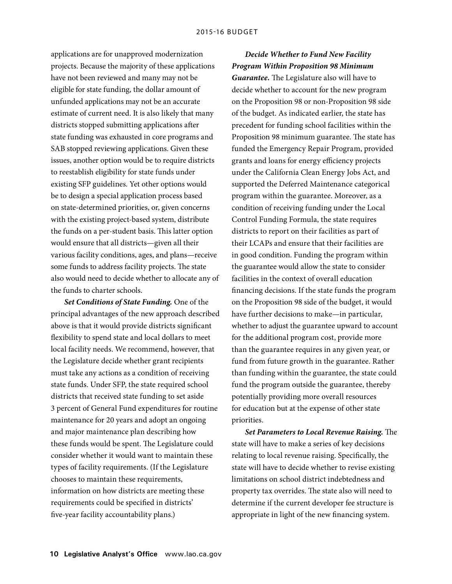applications are for unapproved modernization projects. Because the majority of these applications have not been reviewed and many may not be eligible for state funding, the dollar amount of unfunded applications may not be an accurate estimate of current need. It is also likely that many districts stopped submitting applications after state funding was exhausted in core programs and SAB stopped reviewing applications. Given these issues, another option would be to require districts to reestablish eligibility for state funds under existing SFP guidelines. Yet other options would be to design a special application process based on state-determined priorities, or, given concerns with the existing project-based system, distribute the funds on a per-student basis. This latter option would ensure that all districts—given all their various facility conditions, ages, and plans—receive some funds to address facility projects. The state also would need to decide whether to allocate any of the funds to charter schools.

*Set Conditions of State Funding.* One of the principal advantages of the new approach described above is that it would provide districts significant flexibility to spend state and local dollars to meet local facility needs. We recommend, however, that the Legislature decide whether grant recipients must take any actions as a condition of receiving state funds. Under SFP, the state required school districts that received state funding to set aside 3 percent of General Fund expenditures for routine maintenance for 20 years and adopt an ongoing and major maintenance plan describing how these funds would be spent. The Legislature could consider whether it would want to maintain these types of facility requirements. (If the Legislature chooses to maintain these requirements, information on how districts are meeting these requirements could be specified in districts' five-year facility accountability plans.)

*Decide Whether to Fund New Facility Program Within Proposition 98 Minimum* 

*Guarantee.* The Legislature also will have to decide whether to account for the new program on the Proposition 98 or non-Proposition 98 side of the budget. As indicated earlier, the state has precedent for funding school facilities within the Proposition 98 minimum guarantee. The state has funded the Emergency Repair Program, provided grants and loans for energy efficiency projects under the California Clean Energy Jobs Act, and supported the Deferred Maintenance categorical program within the guarantee. Moreover, as a condition of receiving funding under the Local Control Funding Formula, the state requires districts to report on their facilities as part of their LCAPs and ensure that their facilities are in good condition. Funding the program within the guarantee would allow the state to consider facilities in the context of overall education financing decisions. If the state funds the program on the Proposition 98 side of the budget, it would have further decisions to make—in particular, whether to adjust the guarantee upward to account for the additional program cost, provide more than the guarantee requires in any given year, or fund from future growth in the guarantee. Rather than funding within the guarantee, the state could fund the program outside the guarantee, thereby potentially providing more overall resources for education but at the expense of other state priorities.

*Set Parameters to Local Revenue Raising.* The state will have to make a series of key decisions relating to local revenue raising. Specifically, the state will have to decide whether to revise existing limitations on school district indebtedness and property tax overrides. The state also will need to determine if the current developer fee structure is appropriate in light of the new financing system.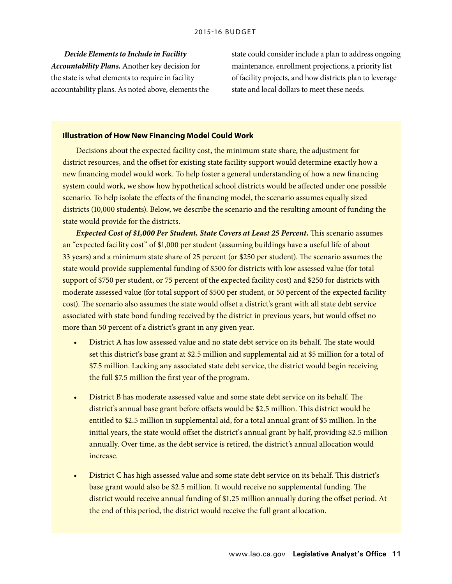*Decide Elements to Include in Facility Accountability Plans.* Another key decision for the state is what elements to require in facility accountability plans. As noted above, elements the state could consider include a plan to address ongoing maintenance, enrollment projections, a priority list of facility projects, and how districts plan to leverage state and local dollars to meet these needs.

## **Illustration of How New Financing Model Could Work**

Decisions about the expected facility cost, the minimum state share, the adjustment for district resources, and the offset for existing state facility support would determine exactly how a new financing model would work. To help foster a general understanding of how a new financing system could work, we show how hypothetical school districts would be affected under one possible scenario. To help isolate the effects of the financing model, the scenario assumes equally sized districts (10,000 students). Below, we describe the scenario and the resulting amount of funding the state would provide for the districts.

*Expected Cost of \$1,000 Per Student, State Covers at Least 25 Percent.* This scenario assumes an "expected facility cost" of \$1,000 per student (assuming buildings have a useful life of about 33 years) and a minimum state share of 25 percent (or \$250 per student). The scenario assumes the state would provide supplemental funding of \$500 for districts with low assessed value (for total support of \$750 per student, or 75 percent of the expected facility cost) and \$250 for districts with moderate assessed value (for total support of \$500 per student, or 50 percent of the expected facility cost). The scenario also assumes the state would offset a district's grant with all state debt service associated with state bond funding received by the district in previous years, but would offset no more than 50 percent of a district's grant in any given year.

- District A has low assessed value and no state debt service on its behalf. The state would set this district's base grant at \$2.5 million and supplemental aid at \$5 million for a total of \$7.5 million. Lacking any associated state debt service, the district would begin receiving the full \$7.5 million the first year of the program.
- District B has moderate assessed value and some state debt service on its behalf. The district's annual base grant before offsets would be \$2.5 million. This district would be entitled to \$2.5 million in supplemental aid, for a total annual grant of \$5 million. In the initial years, the state would offset the district's annual grant by half, providing \$2.5 million annually. Over time, as the debt service is retired, the district's annual allocation would increase.
- District C has high assessed value and some state debt service on its behalf. This district's base grant would also be \$2.5 million. It would receive no supplemental funding. The district would receive annual funding of \$1.25 million annually during the offset period. At the end of this period, the district would receive the full grant allocation.